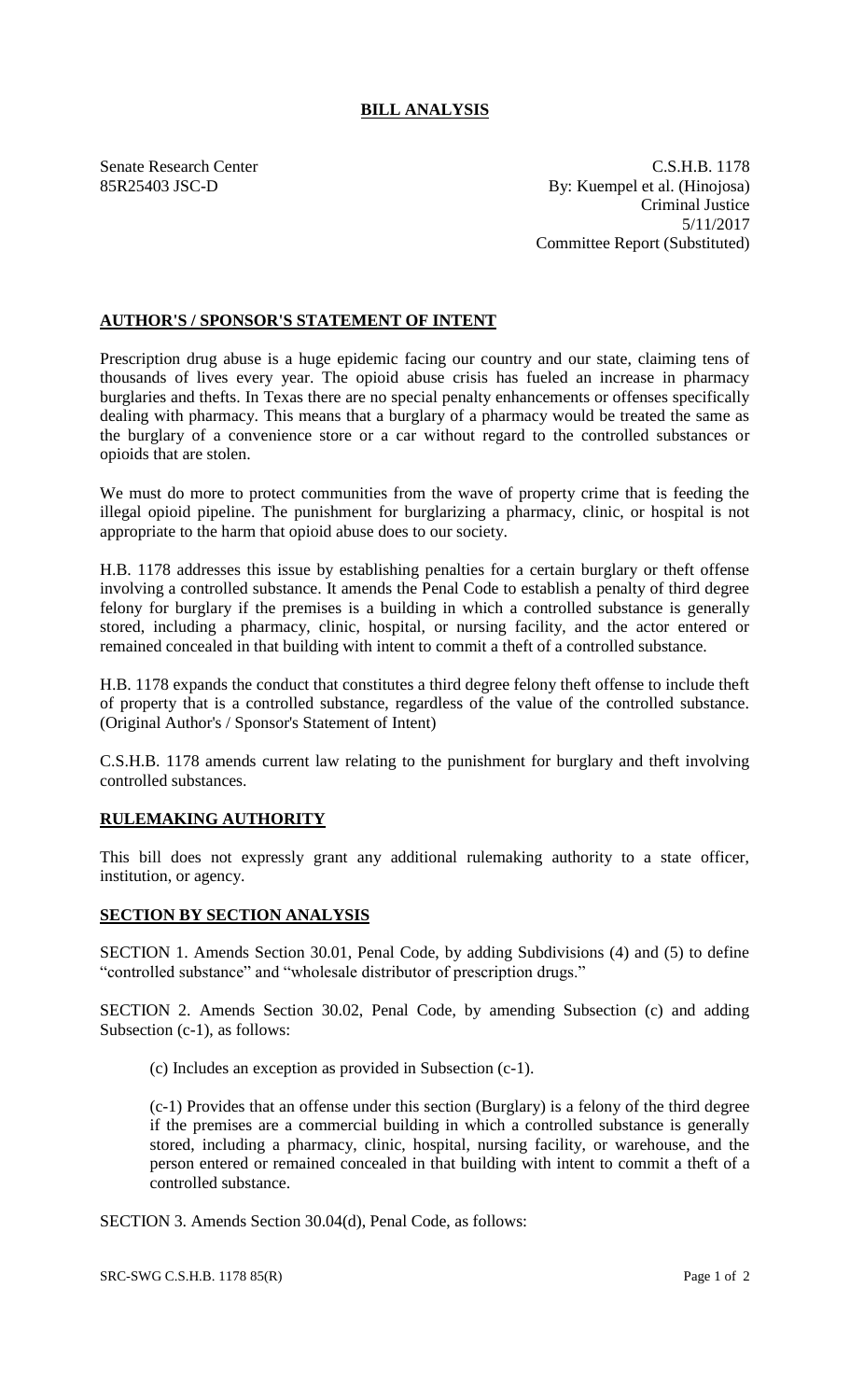## **BILL ANALYSIS**

Senate Research Center C.S.H.B. 1178 85R25403 JSC-D By: Kuempel et al. (Hinojosa) Criminal Justice 5/11/2017 Committee Report (Substituted)

## **AUTHOR'S / SPONSOR'S STATEMENT OF INTENT**

Prescription drug abuse is a huge epidemic facing our country and our state, claiming tens of thousands of lives every year. The opioid abuse crisis has fueled an increase in pharmacy burglaries and thefts. In Texas there are no special penalty enhancements or offenses specifically dealing with pharmacy. This means that a burglary of a pharmacy would be treated the same as the burglary of a convenience store or a car without regard to the controlled substances or opioids that are stolen.

We must do more to protect communities from the wave of property crime that is feeding the illegal opioid pipeline. The punishment for burglarizing a pharmacy, clinic, or hospital is not appropriate to the harm that opioid abuse does to our society.

H.B. 1178 addresses this issue by establishing penalties for a certain burglary or theft offense involving a controlled substance. It amends the Penal Code to establish a penalty of third degree felony for burglary if the premises is a building in which a controlled substance is generally stored, including a pharmacy, clinic, hospital, or nursing facility, and the actor entered or remained concealed in that building with intent to commit a theft of a controlled substance.

H.B. 1178 expands the conduct that constitutes a third degree felony theft offense to include theft of property that is a controlled substance, regardless of the value of the controlled substance. (Original Author's / Sponsor's Statement of Intent)

C.S.H.B. 1178 amends current law relating to the punishment for burglary and theft involving controlled substances.

## **RULEMAKING AUTHORITY**

This bill does not expressly grant any additional rulemaking authority to a state officer, institution, or agency.

## **SECTION BY SECTION ANALYSIS**

SECTION 1. Amends Section 30.01, Penal Code, by adding Subdivisions (4) and (5) to define "controlled substance" and "wholesale distributor of prescription drugs."

SECTION 2. Amends Section 30.02, Penal Code, by amending Subsection (c) and adding Subsection (c-1), as follows:

(c) Includes an exception as provided in Subsection (c-1).

(c-1) Provides that an offense under this section (Burglary) is a felony of the third degree if the premises are a commercial building in which a controlled substance is generally stored, including a pharmacy, clinic, hospital, nursing facility, or warehouse, and the person entered or remained concealed in that building with intent to commit a theft of a controlled substance.

SECTION 3. Amends Section 30.04(d), Penal Code, as follows: